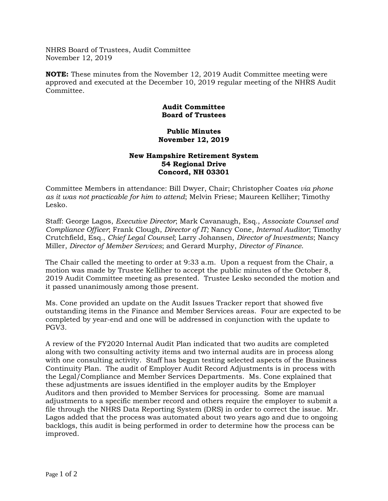NHRS Board of Trustees, Audit Committee November 12, 2019

**NOTE:** These minutes from the November 12, 2019 Audit Committee meeting were approved and executed at the December 10, 2019 regular meeting of the NHRS Audit Committee.

## **Audit Committee Board of Trustees**

## **Public Minutes November 12, 2019**

## **New Hampshire Retirement System 54 Regional Drive Concord, NH 03301**

Committee Members in attendance: Bill Dwyer, Chair; Christopher Coates *via phone as it was not practicable for him to attend*; Melvin Friese; Maureen Kelliher; Timothy Lesko.

Staff: George Lagos, *Executive Director*; Mark Cavanaugh, Esq., *Associate Counsel and Compliance Officer*; Frank Clough, *Director of IT;* Nancy Cone, *Internal Auditor*; Timothy Crutchfield, Esq., *Chief Legal Counsel*; Larry Johansen, *Director of Investments*; Nancy Miller, *Director of Member Services*; and Gerard Murphy, *Director of Finance*.

The Chair called the meeting to order at 9:33 a.m. Upon a request from the Chair, a motion was made by Trustee Kelliher to accept the public minutes of the October 8, 2019 Audit Committee meeting as presented. Trustee Lesko seconded the motion and it passed unanimously among those present.

Ms. Cone provided an update on the Audit Issues Tracker report that showed five outstanding items in the Finance and Member Services areas. Four are expected to be completed by year-end and one will be addressed in conjunction with the update to PGV3.

A review of the FY2020 Internal Audit Plan indicated that two audits are completed along with two consulting activity items and two internal audits are in process along with one consulting activity. Staff has begun testing selected aspects of the Business Continuity Plan. The audit of Employer Audit Record Adjustments is in process with the Legal/Compliance and Member Services Departments. Ms. Cone explained that these adjustments are issues identified in the employer audits by the Employer Auditors and then provided to Member Services for processing. Some are manual adjustments to a specific member record and others require the employer to submit a file through the NHRS Data Reporting System (DRS) in order to correct the issue. Mr. Lagos added that the process was automated about two years ago and due to ongoing backlogs, this audit is being performed in order to determine how the process can be improved.